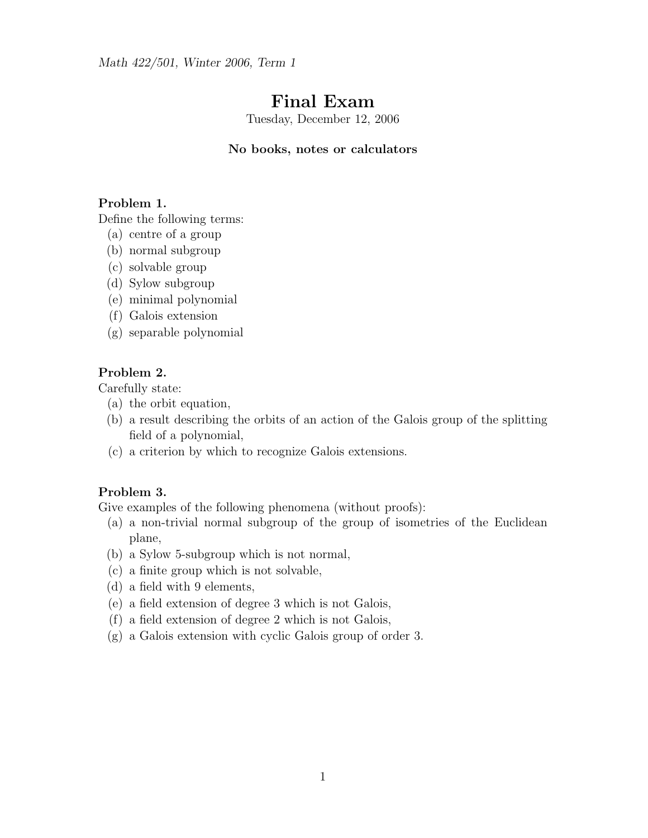Math 422/501, Winter 2006, Term 1

# Final Exam

Tuesday, December 12, 2006

### No books, notes or calculators

### Problem 1.

Define the following terms:

- (a) centre of a group
- (b) normal subgroup
- (c) solvable group
- (d) Sylow subgroup
- (e) minimal polynomial
- (f) Galois extension
- (g) separable polynomial

## Problem 2.

Carefully state:

- (a) the orbit equation,
- (b) a result describing the orbits of an action of the Galois group of the splitting field of a polynomial,
- (c) a criterion by which to recognize Galois extensions.

#### Problem 3.

Give examples of the following phenomena (without proofs):

- (a) a non-trivial normal subgroup of the group of isometries of the Euclidean plane,
- (b) a Sylow 5-subgroup which is not normal,
- (c) a finite group which is not solvable,
- (d) a field with 9 elements,
- (e) a field extension of degree 3 which is not Galois,
- (f) a field extension of degree 2 which is not Galois,
- (g) a Galois extension with cyclic Galois group of order 3.